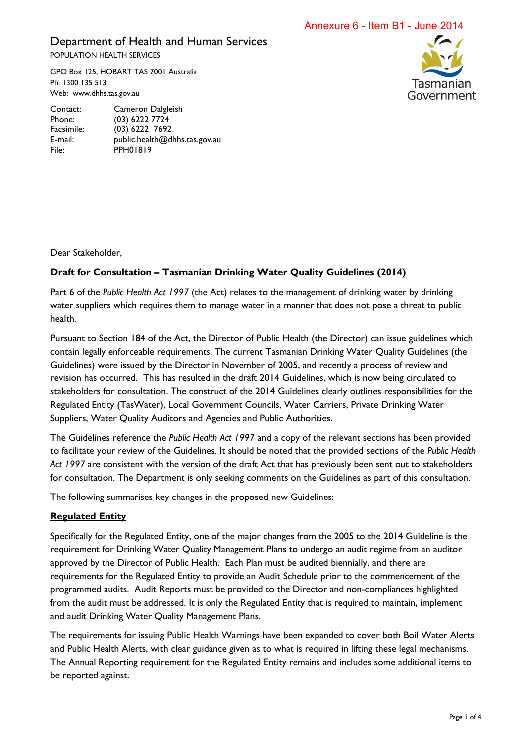Annexure 6 - Item B1 - June 2014

# Department of Health and Human Services POPULATION HEALTH SERVICES

GPO Box 125, HOBART TAS 7001 Australia Ph: 1300 135 513 Web: www.dhhs.tas.gov.au



Contact: Cameron Dalgleish Phone: (03) 6222 7724 Facsimile: (03) 6222 7692 E-mail: public.health@dhhs.tas.gov.au File: PPH01819

Dear Stakeholder,

## **Draft for Consultation – Tasmanian Drinking Water Quality Guidelines (2014)**

Part 6 of the *Public Health Act 1997* (the Act) relates to the management of drinking water by drinking water suppliers which requires them to manage water in a manner that does not pose a threat to public health.

Pursuant to Section 184 of the Act, the Director of Public Health (the Director) can issue guidelines which contain legally enforceable requirements. The current Tasmanian Drinking Water Quality Guidelines (the Guidelines) were issued by the Director in November of 2005, and recently a process of review and revision has occurred. This has resulted in the draft 2014 Guidelines, which is now being circulated to stakeholders for consultation. The construct of the 2014 Guidelines clearly outlines responsibilities for the Regulated Entity (TasWater), Local Government Councils, Water Carriers, Private Drinking Water Suppliers, Water Quality Auditors and Agencies and Public Authorities.

The Guidelines reference the *Public Health Act 1997* and a copy of the relevant sections has been provided to facilitate your review of the Guidelines. It should be noted that the provided sections of the *Public Health Act 1997* are consistent with the version of the draft Act that has previously been sent out to stakeholders for consultation. The Department is only seeking comments on the Guidelines as part of this consultation.

The following summarises key changes in the proposed new Guidelines:

## **Regulated Entity**

Specifically for the Regulated Entity, one of the major changes from the 2005 to the 2014 Guideline is the requirement for Drinking Water Quality Management Plans to undergo an audit regime from an auditor approved by the Director of Public Health. Each Plan must be audited biennially, and there are requirements for the Regulated Entity to provide an Audit Schedule prior to the commencement of the programmed audits. Audit Reports must be provided to the Director and non-compliances highlighted from the audit must be addressed. It is only the Regulated Entity that is required to maintain, implement and audit Drinking Water Quality Management Plans.

The requirements for issuing Public Health Warnings have been expanded to cover both Boil Water Alerts and Public Health Alerts, with clear guidance given as to what is required in lifting these legal mechanisms. The Annual Reporting requirement for the Regulated Entity remains and includes some additional items to be reported against.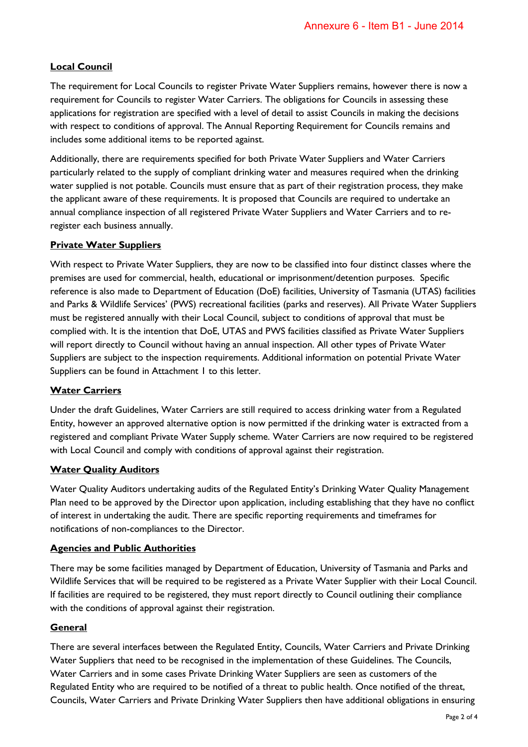## **Local Council**

The requirement for Local Councils to register Private Water Suppliers remains, however there is now a requirement for Councils to register Water Carriers. The obligations for Councils in assessing these applications for registration are specified with a level of detail to assist Councils in making the decisions with respect to conditions of approval. The Annual Reporting Requirement for Councils remains and includes some additional items to be reported against.

Additionally, there are requirements specified for both Private Water Suppliers and Water Carriers particularly related to the supply of compliant drinking water and measures required when the drinking water supplied is not potable. Councils must ensure that as part of their registration process, they make the applicant aware of these requirements. It is proposed that Councils are required to undertake an annual compliance inspection of all registered Private Water Suppliers and Water Carriers and to reregister each business annually.

#### **Private Water Suppliers**

With respect to Private Water Suppliers, they are now to be classified into four distinct classes where the premises are used for commercial, health, educational or imprisonment/detention purposes. Specific reference is also made to Department of Education (DoE) facilities, University of Tasmania (UTAS) facilities and Parks & Wildlife Services' (PWS) recreational facilities (parks and reserves). All Private Water Suppliers must be registered annually with their Local Council, subject to conditions of approval that must be complied with. It is the intention that DoE, UTAS and PWS facilities classified as Private Water Suppliers will report directly to Council without having an annual inspection. All other types of Private Water Suppliers are subject to the inspection requirements. Additional information on potential Private Water Suppliers can be found in Attachment 1 to this letter.

## **Water Carriers**

Under the draft Guidelines, Water Carriers are still required to access drinking water from a Regulated Entity, however an approved alternative option is now permitted if the drinking water is extracted from a registered and compliant Private Water Supply scheme. Water Carriers are now required to be registered with Local Council and comply with conditions of approval against their registration.

#### **Water Quality Auditors**

Water Quality Auditors undertaking audits of the Regulated Entity's Drinking Water Quality Management Plan need to be approved by the Director upon application, including establishing that they have no conflict of interest in undertaking the audit. There are specific reporting requirements and timeframes for notifications of non-compliances to the Director.

#### **Agencies and Public Authorities**

There may be some facilities managed by Department of Education, University of Tasmania and Parks and Wildlife Services that will be required to be registered as a Private Water Supplier with their Local Council. If facilities are required to be registered, they must report directly to Council outlining their compliance with the conditions of approval against their registration.

#### **General**

There are several interfaces between the Regulated Entity, Councils, Water Carriers and Private Drinking Water Suppliers that need to be recognised in the implementation of these Guidelines. The Councils, Water Carriers and in some cases Private Drinking Water Suppliers are seen as customers of the Regulated Entity who are required to be notified of a threat to public health. Once notified of the threat, Councils, Water Carriers and Private Drinking Water Suppliers then have additional obligations in ensuring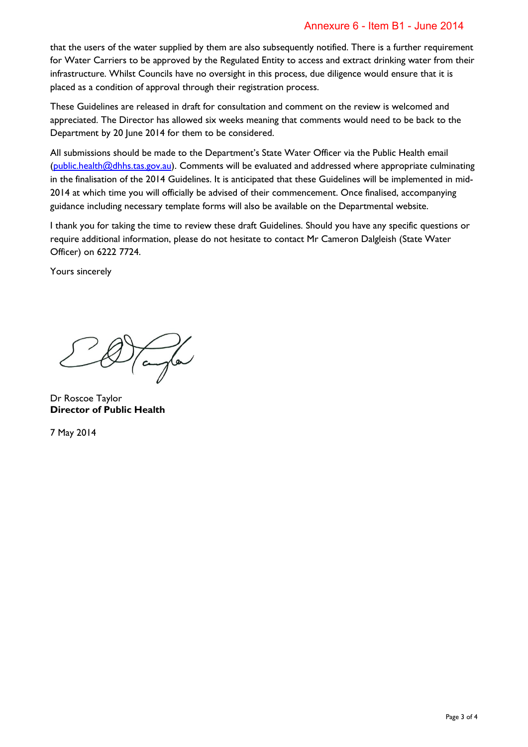## Annexure 6 - Item B1 - June 2014

that the users of the water supplied by them are also subsequently notified. There is a further requirement for Water Carriers to be approved by the Regulated Entity to access and extract drinking water from their infrastructure. Whilst Councils have no oversight in this process, due diligence would ensure that it is placed as a condition of approval through their registration process.

These Guidelines are released in draft for consultation and comment on the review is welcomed and appreciated. The Director has allowed six weeks meaning that comments would need to be back to the Department by 20 June 2014 for them to be considered.

All submissions should be made to the Department's State Water Officer via the Public Health email [\(public.health@dhhs.tas.gov.au\)](mailto:public.health@dhhs.tas.gov.au). Comments will be evaluated and addressed where appropriate culminating in the finalisation of the 2014 Guidelines. It is anticipated that these Guidelines will be implemented in mid-2014 at which time you will officially be advised of their commencement. Once finalised, accompanying guidance including necessary template forms will also be available on the Departmental website.

I thank you for taking the time to review these draft Guidelines. Should you have any specific questions or require additional information, please do not hesitate to contact Mr Cameron Dalgleish (State Water Officer) on 6222 7724.

Yours sincerely

Tangler

Dr Roscoe Taylor **Director of Public Health**

7 May 2014